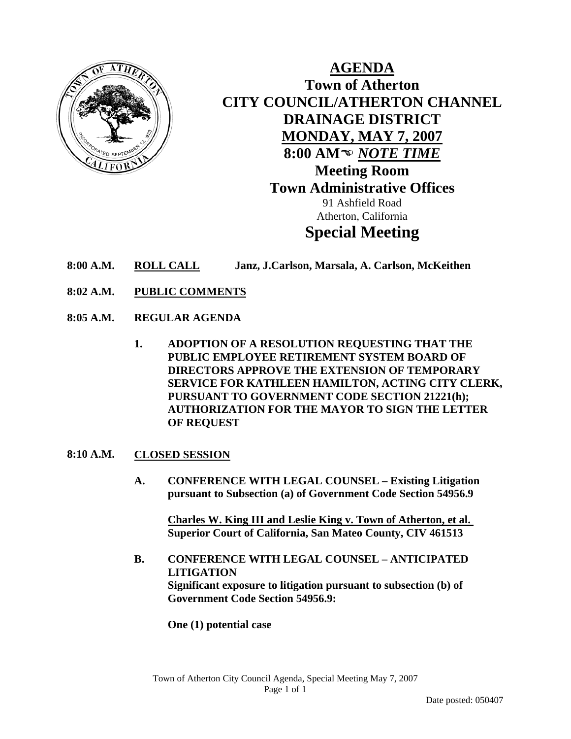

**AGENDA Town of Atherton CITY COUNCIL/ATHERTON CHANNEL DRAINAGE DISTRICT MONDAY, MAY 7, 2007** 8:00 AM<sup>®</sup> NOTE TIME **Meeting Room Town Administrative Offices**  91 Ashfield Road Atherton, California **Special Meeting** 

- **8:00 A.M. ROLL CALL Janz, J.Carlson, Marsala, A. Carlson, McKeithen**
- **8:02 A.M. PUBLIC COMMENTS**
- **8:05 A.M. REGULAR AGENDA** 
	- **1. ADOPTION OF A RESOLUTION REQUESTING THAT THE PUBLIC EMPLOYEE RETIREMENT SYSTEM BOARD OF DIRECTORS APPROVE THE EXTENSION OF TEMPORARY SERVICE FOR KATHLEEN HAMILTON, ACTING CITY CLERK, PURSUANT TO GOVERNMENT CODE SECTION 21221(h); AUTHORIZATION FOR THE MAYOR TO SIGN THE LETTER OF REQUEST**

## **8:10 A.M. CLOSED SESSION**

**A. CONFERENCE WITH LEGAL COUNSEL – Existing Litigation pursuant to Subsection (a) of Government Code Section 54956.9** 

**Charles W. King III and Leslie King v. Town of Atherton, et al. Superior Court of California, San Mateo County, CIV 461513** 

**B. CONFERENCE WITH LEGAL COUNSEL – ANTICIPATED LITIGATION Significant exposure to litigation pursuant to subsection (b) of Government Code Section 54956.9:** 

**One (1) potential case**